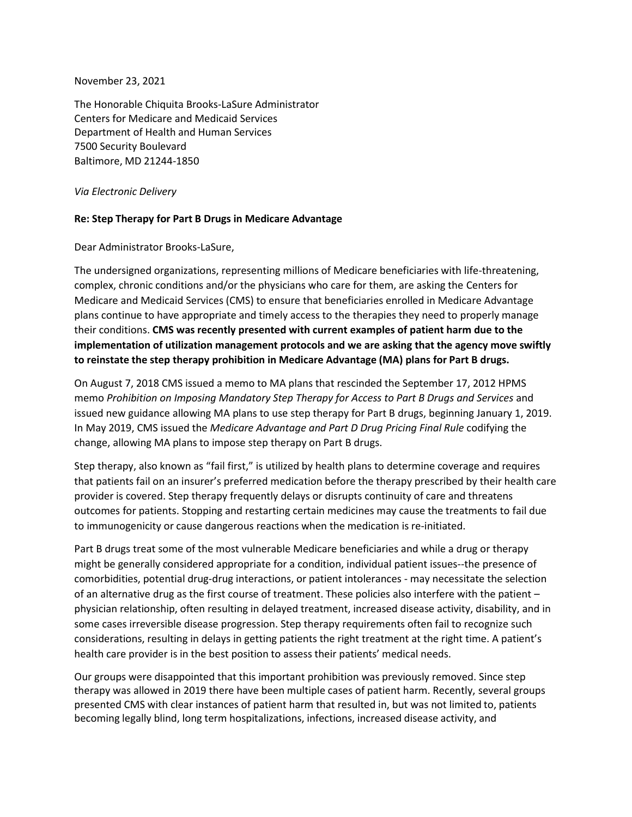November 23, 2021

The Honorable Chiquita Brooks-LaSure Administrator Centers for Medicare and Medicaid Services Department of Health and Human Services 7500 Security Boulevard Baltimore, MD 21244-1850

*Via Electronic Delivery*

## **Re: Step Therapy for Part B Drugs in Medicare Advantage**

Dear Administrator Brooks-LaSure,

The undersigned organizations, representing millions of Medicare beneficiaries with life-threatening, complex, chronic conditions and/or the physicians who care for them, are asking the Centers for Medicare and Medicaid Services (CMS) to ensure that beneficiaries enrolled in Medicare Advantage plans continue to have appropriate and timely access to the therapies they need to properly manage their conditions. **CMS was recently presented with current examples of patient harm due to the implementation of utilization management protocols and we are asking that the agency move swiftly to reinstate the step therapy prohibition in Medicare Advantage (MA) plans for Part B drugs.**

On August 7, 2018 CMS issued a memo to MA plans that rescinded the September 17, 2012 HPMS memo *Prohibition on Imposing Mandatory Step Therapy for Access to Part B Drugs and Services* and issued new guidance allowing MA plans to use step therapy for Part B drugs, beginning January 1, 2019. In May 2019, CMS issued the *Medicare Advantage and Part D Drug Pricing Final Rule* codifying the change, allowing MA plans to impose step therapy on Part B drugs.

Step therapy, also known as "fail first," is utilized by health plans to determine coverage and requires that patients fail on an insurer's preferred medication before the therapy prescribed by their health care provider is covered. Step therapy frequently delays or disrupts continuity of care and threatens outcomes for patients. Stopping and restarting certain medicines may cause the treatments to fail due to immunogenicity or cause dangerous reactions when the medication is re-initiated.

Part B drugs treat some of the most vulnerable Medicare beneficiaries and while a drug or therapy might be generally considered appropriate for a condition, individual patient issues--the presence of comorbidities, potential drug-drug interactions, or patient intolerances - may necessitate the selection of an alternative drug as the first course of treatment. These policies also interfere with the patient – physician relationship, often resulting in delayed treatment, increased disease activity, disability, and in some cases irreversible disease progression. Step therapy requirements often fail to recognize such considerations, resulting in delays in getting patients the right treatment at the right time. A patient's health care provider is in the best position to assess their patients' medical needs.

Our groups were disappointed that this important prohibition was previously removed. Since step therapy was allowed in 2019 there have been multiple cases of patient harm. Recently, several groups presented CMS with clear instances of patient harm that resulted in, but was not limited to, patients becoming legally blind, long term hospitalizations, infections, increased disease activity, and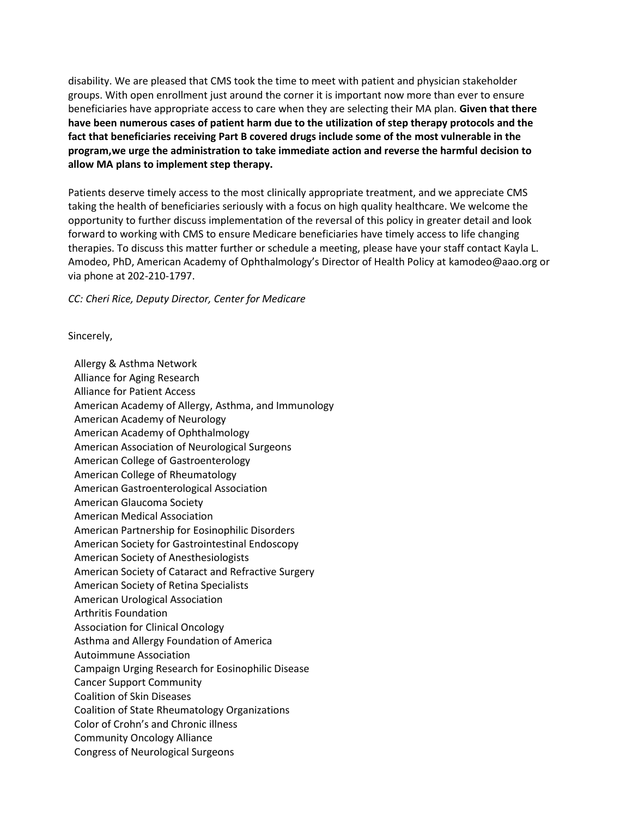disability. We are pleased that CMS took the time to meet with patient and physician stakeholder groups. With open enrollment just around the corner it is important now more than ever to ensure beneficiaries have appropriate access to care when they are selecting their MA plan. **Given that there have been numerous cases of patient harm due to the utilization of step therapy protocols and the fact that beneficiaries receiving Part B covered drugs include some of the most vulnerable in the program,we urge the administration to take immediate action and reverse the harmful decision to allow MA plans to implement step therapy.**

Patients deserve timely access to the most clinically appropriate treatment, and we appreciate CMS taking the health of beneficiaries seriously with a focus on high quality healthcare. We welcome the opportunity to further discuss implementation of the reversal of this policy in greater detail and look forward to working with CMS to ensure Medicare beneficiaries have timely access to life changing therapies. To discuss this matter further or schedule a meeting, please have your staff contact Kayla L. Amodeo, PhD, American Academy of Ophthalmology's Director of Health Policy at [kamodeo@aao.org o](mailto:kamodeo@aao.org)r via phone at 202-210-1797.

*CC: Cheri Rice, Deputy Director, Center for Medicare*

Sincerely,

Allergy & Asthma Network Alliance for Aging Research Alliance for Patient Access American Academy of Allergy, Asthma, and Immunology American Academy of Neurology American Academy of Ophthalmology American Association of Neurological Surgeons American College of Gastroenterology American College of Rheumatology American Gastroenterological Association American Glaucoma Society American Medical Association American Partnership for Eosinophilic Disorders American Society for Gastrointestinal Endoscopy American Society of Anesthesiologists American Society of Cataract and Refractive Surgery American Society of Retina Specialists American Urological Association Arthritis Foundation Association for Clinical Oncology Asthma and Allergy Foundation of America Autoimmune Association Campaign Urging Research for Eosinophilic Disease Cancer Support Community Coalition of Skin Diseases Coalition of State Rheumatology Organizations Color of Crohn's and Chronic illness Community Oncology Alliance Congress of Neurological Surgeons